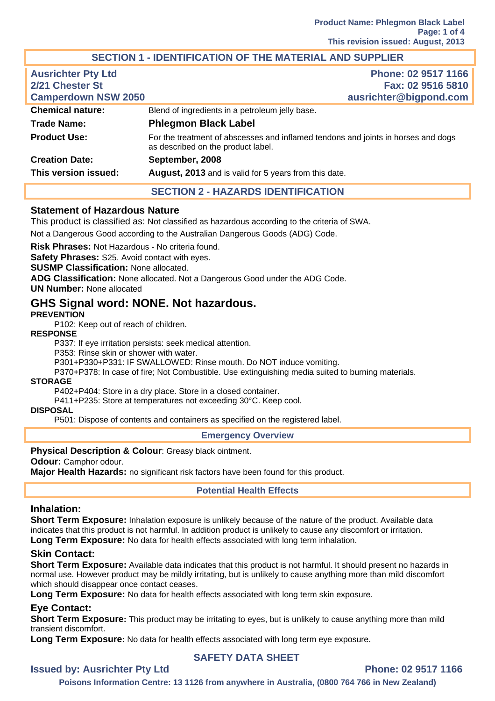## **SECTION 1 - IDENTIFICATION OF THE MATERIAL AND SUPPLIER**

| <b>Ausrichter Pty Ltd</b><br>2/21 Chester St<br><b>Camperdown NSW 2050</b> | Phone: 02 9517 1166<br>Fax: 02 9516 5810<br>ausrichter@bigpond.com                                                      |
|----------------------------------------------------------------------------|-------------------------------------------------------------------------------------------------------------------------|
| <b>Chemical nature:</b>                                                    | Blend of ingredients in a petroleum jelly base.                                                                         |
| <b>Trade Name:</b>                                                         | <b>Phlegmon Black Label</b>                                                                                             |
| <b>Product Use:</b>                                                        | For the treatment of abscesses and inflamed tendons and joints in horses and dogs<br>as described on the product label. |
| <b>Creation Date:</b>                                                      | September, 2008                                                                                                         |
| This version issued:                                                       | August, 2013 and is valid for 5 years from this date.                                                                   |
|                                                                            | <b>SECTION 2 - HAZARDS IDENTIFICATION</b>                                                                               |

#### **Statement of Hazardous Nature**

This product is classified as: Not classified as hazardous according to the criteria of SWA.

Not a Dangerous Good according to the Australian Dangerous Goods (ADG) Code.

**Risk Phrases:** Not Hazardous - No criteria found.

**Safety Phrases:** S25. Avoid contact with eyes.

**SUSMP Classification:** None allocated.

**ADG Classification:** None allocated. Not a Dangerous Good under the ADG Code.

**UN Number:** None allocated

# **GHS Signal word: NONE. Not hazardous.**

#### **PREVENTION**

P102: Keep out of reach of children.

#### **RESPONSE**

P337: If eye irritation persists: seek medical attention.

P353: Rinse skin or shower with water.

P301+P330+P331: IF SWALLOWED: Rinse mouth. Do NOT induce vomiting.

P370+P378: In case of fire; Not Combustible. Use extinguishing media suited to burning materials.

#### **STORAGE**

P402+P404: Store in a dry place. Store in a closed container.

P411+P235: Store at temperatures not exceeding 30°C. Keep cool.

#### **DISPOSAL**

P501: Dispose of contents and containers as specified on the registered label.

#### **Emergency Overview**

#### **Physical Description & Colour**: Greasy black ointment.

**Odour: Camphor odour.** 

**Major Health Hazards:** no significant risk factors have been found for this product.

#### **Potential Health Effects**

#### **Inhalation:**

**Short Term Exposure:** Inhalation exposure is unlikely because of the nature of the product. Available data indicates that this product is not harmful. In addition product is unlikely to cause any discomfort or irritation. **Long Term Exposure:** No data for health effects associated with long term inhalation.

#### **Skin Contact:**

**Short Term Exposure:** Available data indicates that this product is not harmful. It should present no hazards in normal use. However product may be mildly irritating, but is unlikely to cause anything more than mild discomfort which should disappear once contact ceases.

**Long Term Exposure:** No data for health effects associated with long term skin exposure.

## **Eye Contact:**

**Short Term Exposure:** This product may be irritating to eyes, but is unlikely to cause anything more than mild transient discomfort.

**Long Term Exposure:** No data for health effects associated with long term eye exposure.

## **SAFETY DATA SHEET**

# **Issued by: Ausrichter Pty Ltd Phone: 02 9517 1166**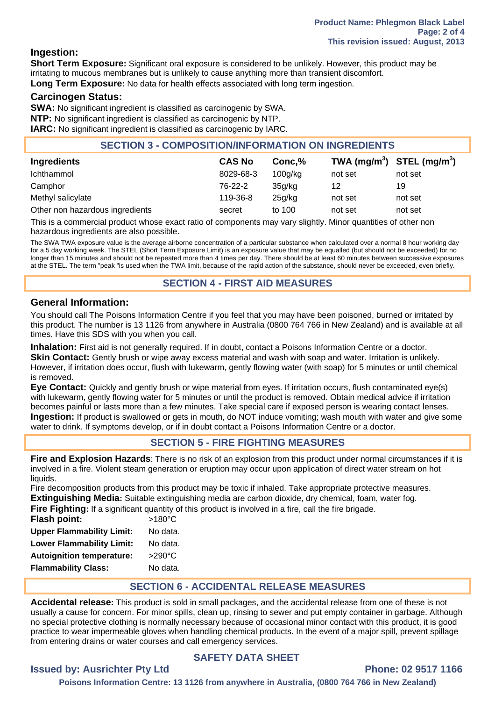## **Ingestion:**

**Short Term Exposure:** Significant oral exposure is considered to be unlikely. However, this product may be irritating to mucous membranes but is unlikely to cause anything more than transient discomfort. **Long Term Exposure:** No data for health effects associated with long term ingestion.

## **Carcinogen Status:**

**SWA:** No significant ingredient is classified as carcinogenic by SWA. **NTP:** No significant ingredient is classified as carcinogenic by NTP. **IARC:** No significant ingredient is classified as carcinogenic by IARC.

#### **SECTION 3 - COMPOSITION/INFORMATION ON INGREDIENTS**

| <b>Ingredients</b>              | <b>CAS No</b> | Conc.%  | TWA $(mg/m^3)$ STEL $(mg/m^3)$ |         |
|---------------------------------|---------------|---------|--------------------------------|---------|
| Ichthammol                      | 8029-68-3     | 100q/kg | not set                        | not set |
| Camphor                         | 76-22-2       | 35q/kg  | 12                             | 19      |
| Methyl salicylate               | 119-36-8      | 25g/kg  | not set                        | not set |
| Other non hazardous ingredients | secret        | to 100  | not set                        | not set |

This is a commercial product whose exact ratio of components may vary slightly. Minor quantities of other non hazardous ingredients are also possible.

The SWA TWA exposure value is the average airborne concentration of a particular substance when calculated over a normal 8 hour working day for a 5 day working week. The STEL (Short Term Exposure Limit) is an exposure value that may be equalled (but should not be exceeded) for no longer than 15 minutes and should not be repeated more than 4 times per day. There should be at least 60 minutes between successive exposures at the STEL. The term "peak "is used when the TWA limit, because of the rapid action of the substance, should never be exceeded, even briefly.

## **SECTION 4 - FIRST AID MEASURES**

## **General Information:**

You should call The Poisons Information Centre if you feel that you may have been poisoned, burned or irritated by this product. The number is 13 1126 from anywhere in Australia (0800 764 766 in New Zealand) and is available at all times. Have this SDS with you when you call.

**Inhalation:** First aid is not generally required. If in doubt, contact a Poisons Information Centre or a doctor. **Skin Contact:** Gently brush or wipe away excess material and wash with soap and water. Irritation is unlikely. However, if irritation does occur, flush with lukewarm, gently flowing water (with soap) for 5 minutes or until chemical is removed.

**Eye Contact:** Quickly and gently brush or wipe material from eyes. If irritation occurs, flush contaminated eye(s) with lukewarm, gently flowing water for 5 minutes or until the product is removed. Obtain medical advice if irritation becomes painful or lasts more than a few minutes. Take special care if exposed person is wearing contact lenses. **Ingestion:** If product is swallowed or gets in mouth, do NOT induce vomiting; wash mouth with water and give some water to drink. If symptoms develop, or if in doubt contact a Poisons Information Centre or a doctor.

## **SECTION 5 - FIRE FIGHTING MEASURES**

**Fire and Explosion Hazards**: There is no risk of an explosion from this product under normal circumstances if it is involved in a fire. Violent steam generation or eruption may occur upon application of direct water stream on hot liquids.

Fire decomposition products from this product may be toxic if inhaled. Take appropriate protective measures. **Extinguishing Media:** Suitable extinguishing media are carbon dioxide, dry chemical, foam, water fog.

|  |  |  |  |  |  | Fire Fighting: If a significant quantity of this product is involved in a fire, call the fire brigade. |
|--|--|--|--|--|--|--------------------------------------------------------------------------------------------------------|
|--|--|--|--|--|--|--------------------------------------------------------------------------------------------------------|

| $>180^{\circ}$ C |
|------------------|
| No data.         |
| No data.         |
| $>290^{\circ}$ C |
| No data.         |
|                  |

## **SECTION 6 - ACCIDENTAL RELEASE MEASURES**

**Accidental release:** This product is sold in small packages, and the accidental release from one of these is not usually a cause for concern. For minor spills, clean up, rinsing to sewer and put empty container in garbage. Although no special protective clothing is normally necessary because of occasional minor contact with this product, it is good practice to wear impermeable gloves when handling chemical products. In the event of a major spill, prevent spillage from entering drains or water courses and call emergency services.

## **SAFETY DATA SHEET**

# **Issued by: Ausrichter Pty Ltd Phone: 02 9517 1166**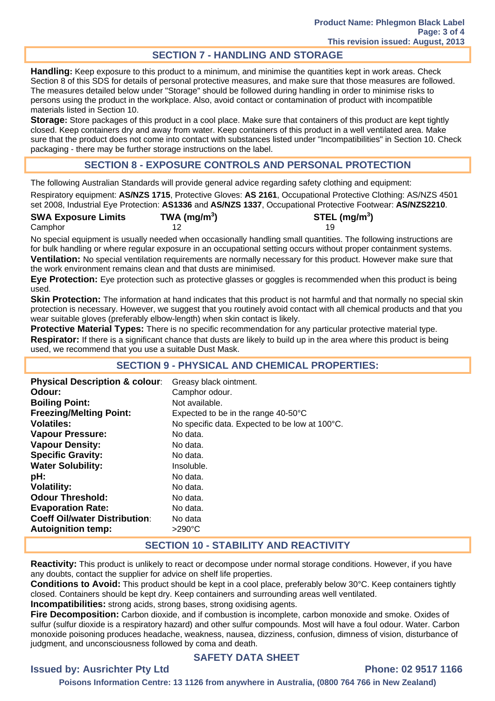# **SECTION 7 - HANDLING AND STORAGE**

**Handling:** Keep exposure to this product to a minimum, and minimise the quantities kept in work areas. Check Section 8 of this SDS for details of personal protective measures, and make sure that those measures are followed. The measures detailed below under "Storage" should be followed during handling in order to minimise risks to persons using the product in the workplace. Also, avoid contact or contamination of product with incompatible materials listed in Section 10.

**Storage:** Store packages of this product in a cool place. Make sure that containers of this product are kept tightly closed. Keep containers dry and away from water. Keep containers of this product in a well ventilated area. Make sure that the product does not come into contact with substances listed under "Incompatibilities" in Section 10. Check packaging - there may be further storage instructions on the label.

## **SECTION 8 - EXPOSURE CONTROLS AND PERSONAL PROTECTION**

The following Australian Standards will provide general advice regarding safety clothing and equipment:

Respiratory equipment: **AS/NZS 1715**, Protective Gloves: **AS 2161**, Occupational Protective Clothing: AS/NZS 4501 set 2008, Industrial Eye Protection: **AS1336** and **AS/NZS 1337**, Occupational Protective Footwear: **AS/NZS2210**.

| <b>SWA Exposure Limits</b> | TWA (mg/m <sup>3</sup> ) | STEL (mg/m <sup>3</sup> ) |
|----------------------------|--------------------------|---------------------------|
| Camphor                    |                          |                           |

No special equipment is usually needed when occasionally handling small quantities. The following instructions are for bulk handling or where regular exposure in an occupational setting occurs without proper containment systems. **Ventilation:** No special ventilation requirements are normally necessary for this product. However make sure that the work environment remains clean and that dusts are minimised.

**Eye Protection:** Eye protection such as protective glasses or goggles is recommended when this product is being used.

**Skin Protection:** The information at hand indicates that this product is not harmful and that normally no special skin protection is necessary. However, we suggest that you routinely avoid contact with all chemical products and that you wear suitable gloves (preferably elbow-length) when skin contact is likely.

**Protective Material Types:** There is no specific recommendation for any particular protective material type. **Respirator:** If there is a significant chance that dusts are likely to build up in the area where this product is being used, we recommend that you use a suitable Dust Mask.

## **SECTION 9 - PHYSICAL AND CHEMICAL PROPERTIES:**

| <b>Physical Description &amp; colour:</b> | Greasy black ointment.                         |
|-------------------------------------------|------------------------------------------------|
| Odour:                                    | Camphor odour.                                 |
| <b>Boiling Point:</b>                     | Not available.                                 |
| <b>Freezing/Melting Point:</b>            | Expected to be in the range $40-50^{\circ}$ C  |
| Volatiles:                                | No specific data. Expected to be low at 100°C. |
| <b>Vapour Pressure:</b>                   | No data.                                       |
| <b>Vapour Density:</b>                    | No data.                                       |
| <b>Specific Gravity:</b>                  | No data.                                       |
| <b>Water Solubility:</b>                  | Insoluble.                                     |
| pH:                                       | No data.                                       |
| <b>Volatility:</b>                        | No data.                                       |
| <b>Odour Threshold:</b>                   | No data.                                       |
| <b>Evaporation Rate:</b>                  | No data.                                       |
| <b>Coeff Oil/water Distribution:</b>      | No data                                        |
| <b>Autoignition temp:</b>                 | $>290^{\circ}$ C                               |

## **SECTION 10 - STABILITY AND REACTIVITY**

**Reactivity:** This product is unlikely to react or decompose under normal storage conditions. However, if you have any doubts, contact the supplier for advice on shelf life properties.

**Conditions to Avoid:** This product should be kept in a cool place, preferably below 30°C. Keep containers tightly closed. Containers should be kept dry. Keep containers and surrounding areas well ventilated.

**Incompatibilities:** strong acids, strong bases, strong oxidising agents.

**Fire Decomposition:** Carbon dioxide, and if combustion is incomplete, carbon monoxide and smoke. Oxides of sulfur (sulfur dioxide is a respiratory hazard) and other sulfur compounds. Most will have a foul odour. Water. Carbon monoxide poisoning produces headache, weakness, nausea, dizziness, confusion, dimness of vision, disturbance of judgment, and unconsciousness followed by coma and death.

## **SAFETY DATA SHEET**

## **Issued by: Ausrichter Pty Ltd Phone: 02 9517 1166**